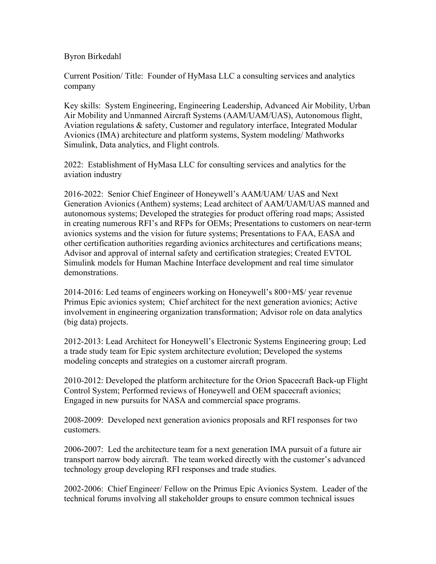## Byron Birkedahl

Current Position/ Title: Founder of HyMasa LLC a consulting services and analytics company

Key skills: System Engineering, Engineering Leadership, Advanced Air Mobility, Urban Air Mobility and Unmanned Aircraft Systems (AAM/UAM/UAS), Autonomous flight, Aviation regulations & safety, Customer and regulatory interface, Integrated Modular Avionics (IMA) architecture and platform systems, System modeling/ Mathworks Simulink, Data analytics, and Flight controls.

2022: Establishment of HyMasa LLC for consulting services and analytics for the aviation industry

2016-2022: Senior Chief Engineer of Honeywell's AAM/UAM/ UAS and Next Generation Avionics (Anthem) systems; Lead architect of AAM/UAM/UAS manned and autonomous systems; Developed the strategies for product offering road maps; Assisted in creating numerous RFI's and RFPs for OEMs; Presentations to customers on near-term avionics systems and the vision for future systems; Presentations to FAA, EASA and other certification authorities regarding avionics architectures and certifications means; Advisor and approval of internal safety and certification strategies; Created EVTOL Simulink models for Human Machine Interface development and real time simulator demonstrations.

2014-2016: Led teams of engineers working on Honeywell's 800+M\$/ year revenue Primus Epic avionics system; Chief architect for the next generation avionics; Active involvement in engineering organization transformation; Advisor role on data analytics (big data) projects.

2012-2013: Lead Architect for Honeywell's Electronic Systems Engineering group; Led a trade study team for Epic system architecture evolution; Developed the systems modeling concepts and strategies on a customer aircraft program.

2010-2012: Developed the platform architecture for the Orion Spacecraft Back-up Flight Control System; Performed reviews of Honeywell and OEM spacecraft avionics; Engaged in new pursuits for NASA and commercial space programs.

2008-2009: Developed next generation avionics proposals and RFI responses for two customers.

2006-2007: Led the architecture team for a next generation IMA pursuit of a future air transport narrow body aircraft. The team worked directly with the customer's advanced technology group developing RFI responses and trade studies.

2002-2006: Chief Engineer/ Fellow on the Primus Epic Avionics System. Leader of the technical forums involving all stakeholder groups to ensure common technical issues